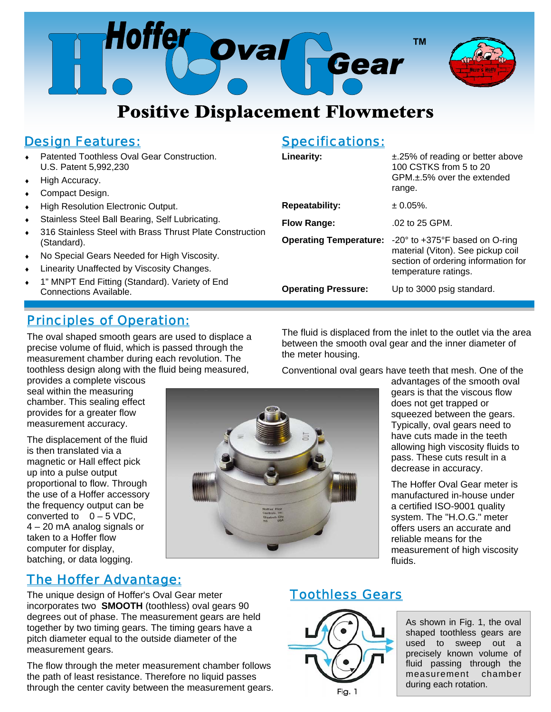

# **Positive Displacement Flowmeters**

# *Design Features:*

- Patented Toothless Oval Gear Construction. U.S. Patent 5,992,230
- High Accuracy.
- Compact Design.
- ◆ High Resolution Electronic Output.
- Stainless Steel Ball Bearing, Self Lubricating.
- ◆ 316 Stainless Steel with Brass Thrust Plate Construction (Standard).
- No Special Gears Needed for High Viscosity.
- **•** Linearity Unaffected by Viscosity Changes.
- 1" MNPT End Fitting (Standard). Variety of End Connections Available.

# *Principles of Operation:*

The oval shaped smooth gears are used to displace a precise volume of fluid, which is passed through the measurement chamber during each revolution. The toothless design along with the fluid being measured,

provides a complete viscous seal within the measuring chamber. This sealing effect provides for a greater flow measurement accuracy.

The displacement of the fluid is then translated via a magnetic or Hall effect pick up into a pulse output proportional to flow. Through the use of a Hoffer accessory the frequency output can be converted to  $0 - 5$  VDC, 4 – 20 mA analog signals or taken to a Hoffer flow computer for display, batching, or data logging.



#### *Specifications:*

| Linearity:                    | $\pm$ .25% of reading or better above<br>100 CSTKS from 5 to 20<br>$GPM + 5%$ over the extended<br>range.                                             |
|-------------------------------|-------------------------------------------------------------------------------------------------------------------------------------------------------|
| Repeatability:                | $\pm 0.05\%$ .                                                                                                                                        |
| <b>Flow Range:</b>            | .02 to 25 GPM.                                                                                                                                        |
| <b>Operating Temperature:</b> | -20 $\degree$ to +375 $\degree$ F based on O-ring<br>material (Viton). See pickup coil<br>section of ordering information for<br>temperature ratings. |
| <b>Operating Pressure:</b>    | Up to 3000 psig standard.                                                                                                                             |
|                               |                                                                                                                                                       |

The fluid is displaced from the inlet to the outlet via the area between the smooth oval gear and the inner diameter of the meter housing.

Conventional oval gears have teeth that mesh. One of the

advantages of the smooth oval gears is that the viscous flow does not get trapped or squeezed between the gears. Typically, oval gears need to have cuts made in the teeth allowing high viscosity fluids to pass. These cuts result in a decrease in accuracy.

The Hoffer Oval Gear meter is manufactured in-house under a certified ISO-9001 quality system. The "H.O.G." meter offers users an accurate and reliable means for the measurement of high viscosity fluids.

# *The Hoffer Advantage:*

The unique design of Hoffer's Oval Gear meter incorporates two **SMOOTH** (toothless) oval gears 90 degrees out of phase. The measurement gears are held together by two timing gears. The timing gears have a pitch diameter equal to the outside diameter of the measurement gears.

The flow through the meter measurement chamber follows the path of least resistance. Therefore no liquid passes through the center cavity between the measurement gears.

# *Toothless Gears*



As shown in Fig. 1, the oval shaped toothless gears are used to sweep out a precisely known volume of fluid passing through the measurement chamber during each rotation.